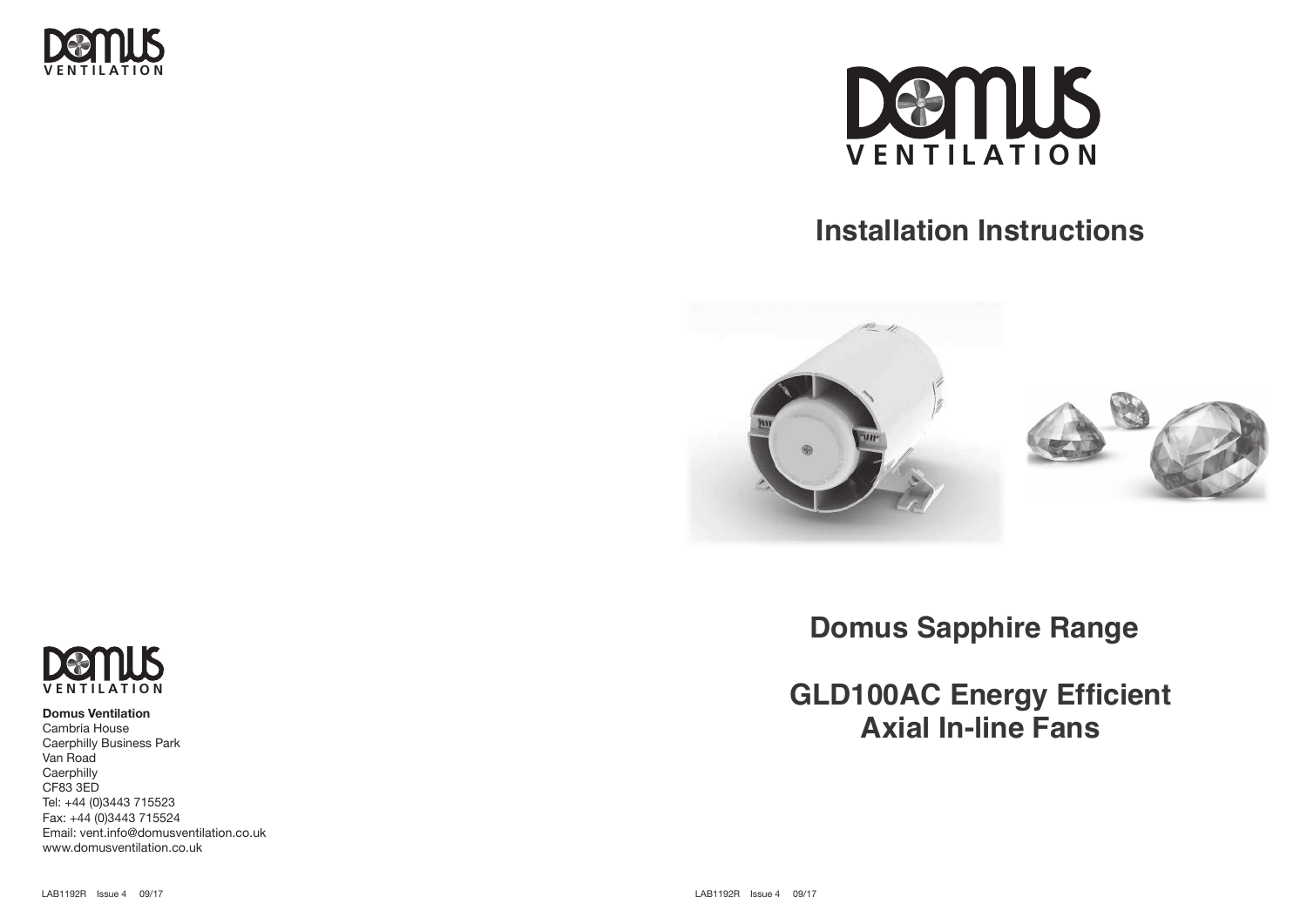



# **Installation Instructions Installation Instructions Installation Instructions**





# **Domus Ventilation**

Cambria House Caerphilly Business Park Van Road **Caerphilly** CF83 3ED Tel: +44 (0)3443 715523 Fax: +44 (0)3443 715524 Email: vent.info@domusventilation.co.uk www.domusventilation.co.uk

**Domus Sapphire Range Domus Sapphire Range Domus Sapphire Range**

**GLD100AC Energy Efficient GLD100AC Energy Efficient GLD100AC Energy Efficient Axial In-line Fans Axial In-line Fans Axial In-line Fans**